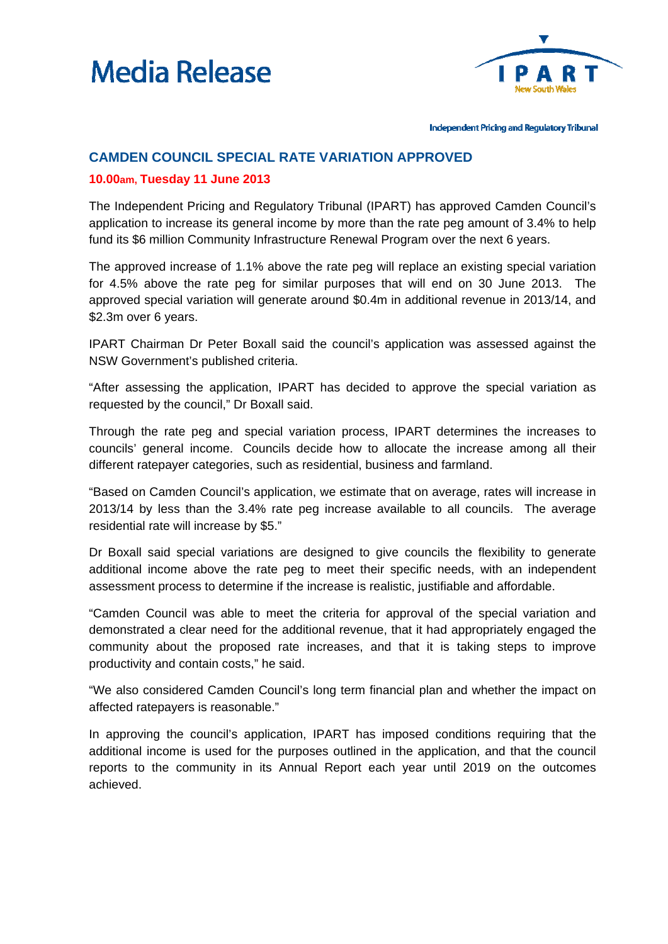



Independent Pricing and Regulatory Tribunal

## **CAMDEN COUNCIL SPECIAL RATE VARIATION APPROVED**

## **10.00am, Tuesday 11 June 2013**

The Independent Pricing and Regulatory Tribunal (IPART) has approved Camden Council's application to increase its general income by more than the rate peg amount of 3.4% to help fund its \$6 million Community Infrastructure Renewal Program over the next 6 years.

The approved increase of 1.1% above the rate peg will replace an existing special variation for 4.5% above the rate peg for similar purposes that will end on 30 June 2013. The approved special variation will generate around \$0.4m in additional revenue in 2013/14, and \$2.3m over 6 years.

IPART Chairman Dr Peter Boxall said the council's application was assessed against the NSW Government's published criteria.

"After assessing the application, IPART has decided to approve the special variation as requested by the council," Dr Boxall said.

Through the rate peg and special variation process, IPART determines the increases to councils' general income. Councils decide how to allocate the increase among all their different ratepayer categories, such as residential, business and farmland.

"Based on Camden Council's application, we estimate that on average, rates will increase in 2013/14 by less than the 3.4% rate peg increase available to all councils. The average residential rate will increase by \$5."

Dr Boxall said special variations are designed to give councils the flexibility to generate additional income above the rate peg to meet their specific needs, with an independent assessment process to determine if the increase is realistic, justifiable and affordable.

"Camden Council was able to meet the criteria for approval of the special variation and demonstrated a clear need for the additional revenue, that it had appropriately engaged the community about the proposed rate increases, and that it is taking steps to improve productivity and contain costs," he said.

"We also considered Camden Council's long term financial plan and whether the impact on affected ratepayers is reasonable."

In approving the council's application, IPART has imposed conditions requiring that the additional income is used for the purposes outlined in the application, and that the council reports to the community in its Annual Report each year until 2019 on the outcomes achieved.